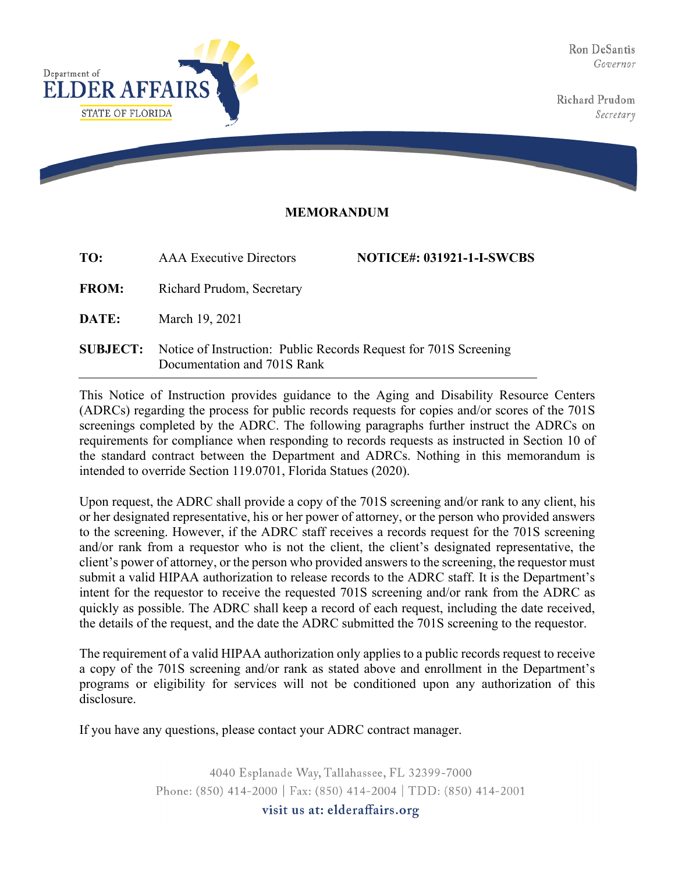Ron DeSantis Governor

Richard Prudom Secretary



## **MEMORANDUM**

| TO:             | <b>AAA</b> Executive Directors                                                                  | <b>NOTICE#: 031921-1-I-SWCBS</b> |
|-----------------|-------------------------------------------------------------------------------------------------|----------------------------------|
| <b>FROM:</b>    | Richard Prudom, Secretary                                                                       |                                  |
| <b>DATE:</b>    | March 19, 2021                                                                                  |                                  |
| <b>SUBJECT:</b> | Notice of Instruction: Public Records Request for 701S Screening<br>Documentation and 701S Rank |                                  |

This Notice of Instruction provides guidance to the Aging and Disability Resource Centers (ADRCs) regarding the process for public records requests for copies and/or scores of the 701S screenings completed by the ADRC. The following paragraphs further instruct the ADRCs on requirements for compliance when responding to records requests as instructed in Section 10 of the standard contract between the Department and ADRCs. Nothing in this memorandum is intended to override Section 119.0701, Florida Statues (2020).

Upon request, the ADRC shall provide a copy of the 701S screening and/or rank to any client, his or her designated representative, his or her power of attorney, or the person who provided answers to the screening. However, if the ADRC staff receives a records request for the 701S screening and/or rank from a requestor who is not the client, the client's designated representative, the client's power of attorney, or the person who provided answers to the screening, the requestor must submit a valid HIPAA authorization to release records to the ADRC staff. It is the Department's intent for the requestor to receive the requested 701S screening and/or rank from the ADRC as quickly as possible. The ADRC shall keep a record of each request, including the date received, the details of the request, and the date the ADRC submitted the 701S screening to the requestor.

The requirement of a valid HIPAA authorization only applies to a public records request to receive a copy of the 701S screening and/or rank as stated above and enrollment in the Department's programs or eligibility for services will not be conditioned upon any authorization of this disclosure.

If you have any questions, please contact your ADRC contract manager.

4040 Esplanade Way, Tallahassee, FL 32399-7000 Phone: (850) 414-2000 | Fax: (850) 414-2004 | TDD: (850) 414-2001 visit us at: elderaffairs.org